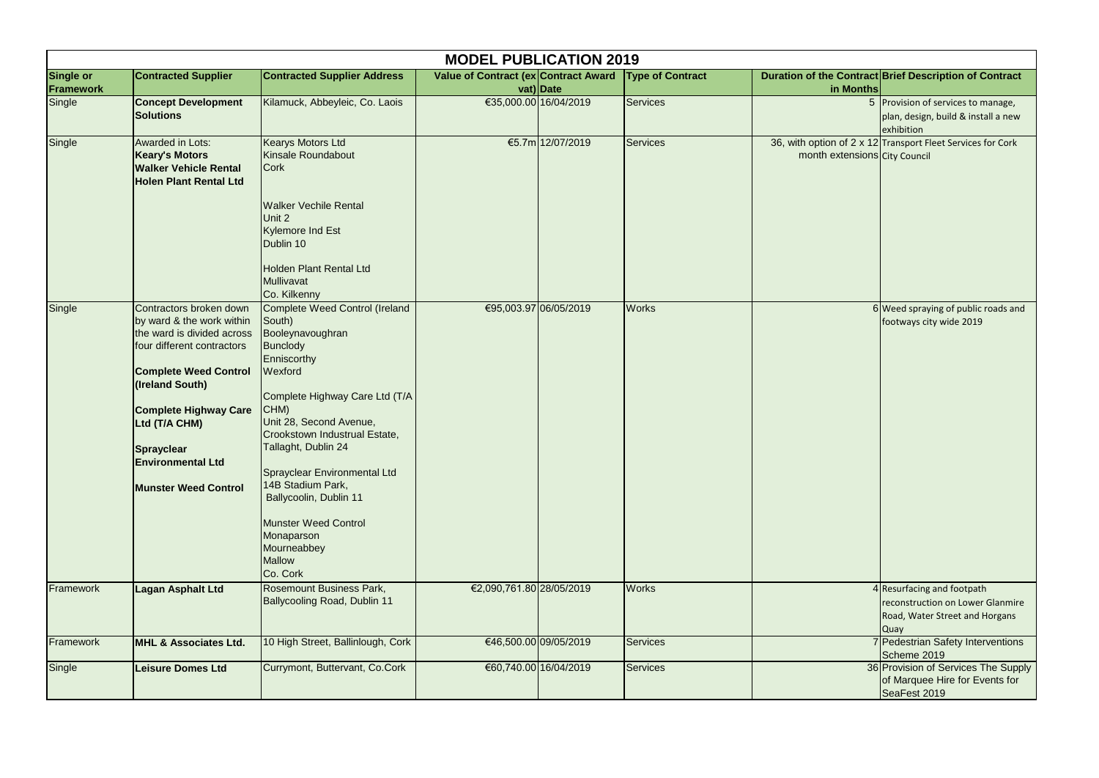| <b>MODEL PUBLICATION 2019</b> |                                                                                                                                                                                                                                                                                               |                                                                                                                                                                                                                                                                                                                                                                                                                |                                      |                       |                         |                               |                                                                                                                 |  |
|-------------------------------|-----------------------------------------------------------------------------------------------------------------------------------------------------------------------------------------------------------------------------------------------------------------------------------------------|----------------------------------------------------------------------------------------------------------------------------------------------------------------------------------------------------------------------------------------------------------------------------------------------------------------------------------------------------------------------------------------------------------------|--------------------------------------|-----------------------|-------------------------|-------------------------------|-----------------------------------------------------------------------------------------------------------------|--|
| Single or<br>Framework        | <b>Contracted Supplier</b>                                                                                                                                                                                                                                                                    | <b>Contracted Supplier Address</b>                                                                                                                                                                                                                                                                                                                                                                             | Value of Contract (ex Contract Award | vat) Date             | <b>Type of Contract</b> | in Months                     | Duration of the Contract Brief Description of Contract                                                          |  |
| Single                        | <b>Concept Development</b><br><b>Solutions</b>                                                                                                                                                                                                                                                | Kilamuck, Abbeyleic, Co. Laois                                                                                                                                                                                                                                                                                                                                                                                 |                                      | €35,000.00 16/04/2019 | <b>Services</b>         |                               | 5 Provision of services to manage,<br>plan, design, build & install a new<br>exhibition                         |  |
| Single                        | <b>Awarded in Lots:</b><br><b>Keary's Motors</b><br><b>Walker Vehicle Rental</b><br><b>Holen Plant Rental Ltd</b>                                                                                                                                                                             | <b>Kearys Motors Ltd</b><br>Kinsale Roundabout<br><b>Cork</b><br><b>Walker Vechile Rental</b><br>Unit 2<br><b>Kylemore Ind Est</b><br>Dublin 10<br><b>Holden Plant Rental Ltd</b><br>Mullivavat<br>Co. Kilkenny                                                                                                                                                                                                |                                      | €5.7m 12/07/2019      | Services                | month extensions City Council | 36, with option of 2 x 12 Transport Fleet Services for Cork                                                     |  |
| Single                        | Contractors broken down<br>by ward & the work within<br>the ward is divided across<br>four different contractors<br><b>Complete Weed Control</b><br>(Ireland South)<br><b>Complete Highway Care</b><br>Ltd (T/A CHM)<br>Sprayclear<br><b>Environmental Ltd</b><br><b>Munster Weed Control</b> | Complete Weed Control (Ireland<br>South)<br>Booleynavoughran<br><b>Bunclody</b><br>Enniscorthy<br>Wexford<br>Complete Highway Care Ltd (T/A<br>CHM)<br>Unit 28, Second Avenue,<br>Crookstown Industrual Estate,<br>Tallaght, Dublin 24<br>Sprayclear Environmental Ltd<br>14B Stadium Park,<br>Ballycoolin, Dublin 11<br><b>Munster Weed Control</b><br>Monaparson<br>Mourneabbey<br><b>Mallow</b><br>Co. Cork |                                      | €95,003.97 06/05/2019 | <b>Works</b>            |                               | $6$ Weed spraying of public roads and<br>footways city wide 2019                                                |  |
| Framework                     | <b>Lagan Asphalt Ltd</b>                                                                                                                                                                                                                                                                      | <b>Rosemount Business Park,</b><br><b>Ballycooling Road, Dublin 11</b>                                                                                                                                                                                                                                                                                                                                         | €2,090,761.80 28/05/2019             |                       | <b>Works</b>            |                               | 4 Resurfacing and footpath<br>reconstruction on Lower Glanmire<br>Road, Water Street and Horgans<br><b>Quay</b> |  |
| Framework                     | <b>MHL &amp; Associates Ltd.</b>                                                                                                                                                                                                                                                              | 10 High Street, Ballinlough, Cork                                                                                                                                                                                                                                                                                                                                                                              |                                      | €46,500.00 09/05/2019 | Services                |                               | 7 Pedestrian Safety Interventions<br>Scheme 2019                                                                |  |
| Single                        | <b>Leisure Domes Ltd</b>                                                                                                                                                                                                                                                                      | Currymont, Buttervant, Co.Cork                                                                                                                                                                                                                                                                                                                                                                                 |                                      | €60,740.00 16/04/2019 | <b>Services</b>         |                               | 36 Provision of Services The Supply<br>of Marquee Hire for Events for<br>SeaFest 2019                           |  |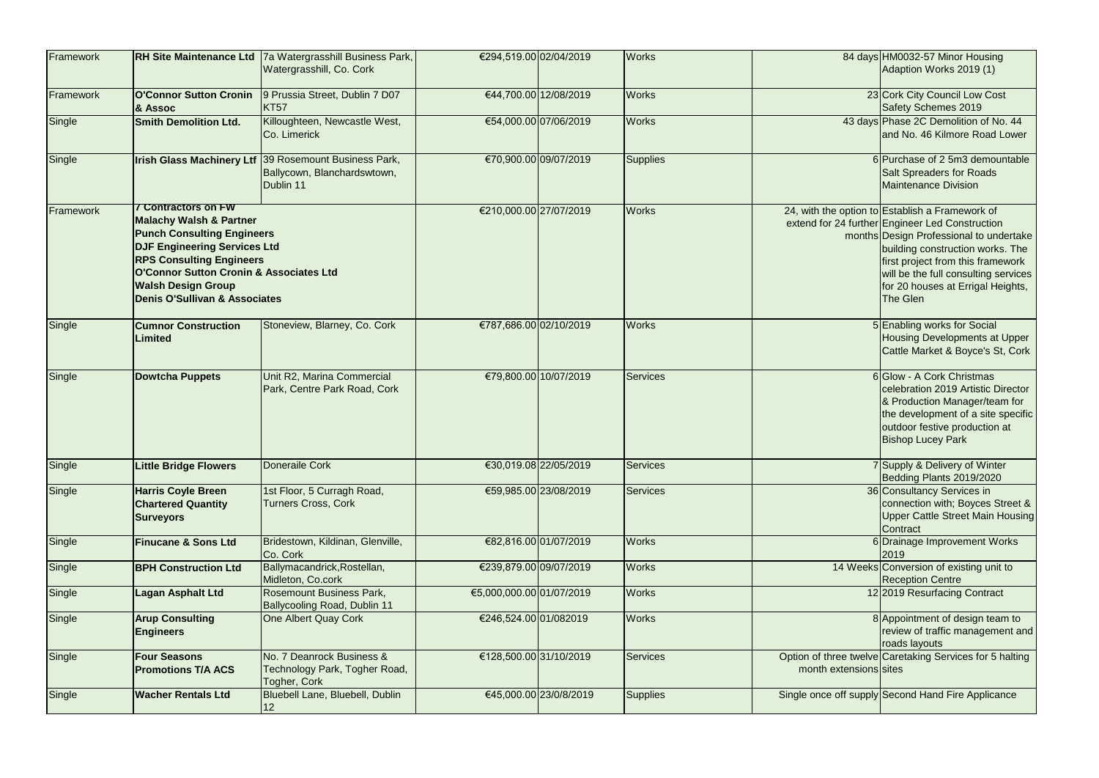| Framework | <b>RH Site Maintenance Ltd</b>                                                                                                                                                                                                                                                           | 7a Watergrasshill Business Park,<br>Watergrasshill, Co. Cork               | €294,519.00 02/04/2019   |                        | <b>Works</b>    |                        | 84 days HM0032-57 Minor Housing<br>Adaption Works 2019 (1)                                                                                                                                                                                                                                                      |
|-----------|------------------------------------------------------------------------------------------------------------------------------------------------------------------------------------------------------------------------------------------------------------------------------------------|----------------------------------------------------------------------------|--------------------------|------------------------|-----------------|------------------------|-----------------------------------------------------------------------------------------------------------------------------------------------------------------------------------------------------------------------------------------------------------------------------------------------------------------|
| Framework | <b>O'Connor Sutton Cronin</b><br><b>&amp; Assoc</b>                                                                                                                                                                                                                                      | 9 Prussia Street, Dublin 7 D07<br>KT57                                     |                          | €44,700.00 12/08/2019  | <b>Works</b>    |                        | 23 Cork City Council Low Cost<br><b>Safety Schemes 2019</b>                                                                                                                                                                                                                                                     |
| Single    | <b>Smith Demolition Ltd.</b>                                                                                                                                                                                                                                                             | Killoughteen, Newcastle West,<br>Co. Limerick                              |                          | €54,000.00 07/06/2019  | <b>Works</b>    |                        | 43 days Phase 2C Demolition of No. 44<br>and No. 46 Kilmore Road Lower                                                                                                                                                                                                                                          |
| Single    | <b>Irish Glass Machinery Ltf</b>                                                                                                                                                                                                                                                         | 39 Rosemount Business Park,<br>Ballycown, Blanchardswtown,<br>Dublin 11    |                          | €70,900.00 09/07/2019  | <b>Supplies</b> |                        | 6 Purchase of 2 5m3 demountable<br><b>Salt Spreaders for Roads</b><br><b>Maintenance Division</b>                                                                                                                                                                                                               |
| Framework | <b>7 Contractors on FW</b><br><b>Malachy Walsh &amp; Partner</b><br><b>Punch Consulting Engineers</b><br><b>DJF Engineering Services Ltd</b><br><b>RPS Consulting Engineers</b><br>O'Connor Sutton Cronin & Associates Ltd<br><b>Walsh Design Group</b><br>Denis O'Sullivan & Associates |                                                                            | €210,000.00 27/07/2019   |                        | <b>Works</b>    |                        | 24, with the option to Establish a Framework of<br>extend for 24 further Engineer Led Construction<br>months Design Professional to undertake<br>building construction works. The<br>first project from this framework<br>will be the full consulting services<br>for 20 houses at Errigal Heights,<br>The Glen |
| Single    | <b>Cumnor Construction</b><br>Limited                                                                                                                                                                                                                                                    | Stoneview, Blarney, Co. Cork                                               | €787,686.00 02/10/2019   |                        | <b>Works</b>    |                        | 5 Enabling works for Social<br><b>Housing Developments at Upper</b><br>Cattle Market & Boyce's St, Cork                                                                                                                                                                                                         |
| Single    | Dowtcha Puppets                                                                                                                                                                                                                                                                          | Unit R2, Marina Commercial<br>Park, Centre Park Road, Cork                 |                          | €79,800.00 10/07/2019  | <b>Services</b> |                        | 6 Glow - A Cork Christmas<br>celebration 2019 Artistic Director<br>& Production Manager/team for<br>the development of a site specific<br>outdoor festive production at<br><b>Bishop Lucey Park</b>                                                                                                             |
| Single    | <b>Little Bridge Flowers</b>                                                                                                                                                                                                                                                             | Doneraile Cork                                                             |                          | €30,019.08 22/05/2019  | Services        |                        | 7 Supply & Delivery of Winter<br>Bedding Plants 2019/2020                                                                                                                                                                                                                                                       |
| Single    | <b>Harris Coyle Breen</b><br><b>Chartered Quantity</b><br><b>Surveyors</b>                                                                                                                                                                                                               | 1st Floor, 5 Curragh Road,<br><b>Turners Cross, Cork</b>                   |                          | €59,985.00 23/08/2019  | Services        |                        | 36 Consultancy Services in<br>connection with; Boyces Street &<br>Upper Cattle Street Main Housing<br>Contract                                                                                                                                                                                                  |
| Single    | <b>Finucane &amp; Sons Ltd</b>                                                                                                                                                                                                                                                           | Bridestown, Kildinan, Glenville,<br>Co. Cork                               |                          | €82,816.00 01/07/2019  | <b>Works</b>    |                        | 6 Drainage Improvement Works<br>2019                                                                                                                                                                                                                                                                            |
| Single    | <b>BPH Construction Ltd</b>                                                                                                                                                                                                                                                              | Ballymacandrick, Rostellan,<br>Midleton, Co.cork                           | €239,879.00 09/07/2019   |                        | <b>Works</b>    |                        | 14 Weeks Conversion of existing unit to<br><b>Reception Centre</b>                                                                                                                                                                                                                                              |
| Single    | Lagan Asphalt Ltd                                                                                                                                                                                                                                                                        | Rosemount Business Park,<br><b>Ballycooling Road, Dublin 11</b>            | €5,000,000.00 01/07/2019 |                        | <b>Works</b>    |                        | 12 2019 Resurfacing Contract                                                                                                                                                                                                                                                                                    |
| Single    | <b>Arup Consulting</b><br><b>Engineers</b>                                                                                                                                                                                                                                               | One Albert Quay Cork                                                       | €246,524.00 01/082019    |                        | <b>Works</b>    |                        | 8 Appointment of design team to<br>review of traffic management and<br>roads layouts                                                                                                                                                                                                                            |
| Single    | <b>Four Seasons</b><br><b>Promotions T/A ACS</b>                                                                                                                                                                                                                                         | No. 7 Deanrock Business &<br>Technology Park, Togher Road,<br>Togher, Cork | €128,500.00 31/10/2019   |                        | <b>Services</b> | month extensions sites | Option of three twelve Caretaking Services for 5 halting                                                                                                                                                                                                                                                        |
| Single    | <b>Wacher Rentals Ltd</b>                                                                                                                                                                                                                                                                | Bluebell Lane, Bluebell, Dublin<br><b>12</b>                               |                          | €45,000.00 23/0/8/2019 | <b>Supplies</b> |                        | Single once off supply Second Hand Fire Applicance                                                                                                                                                                                                                                                              |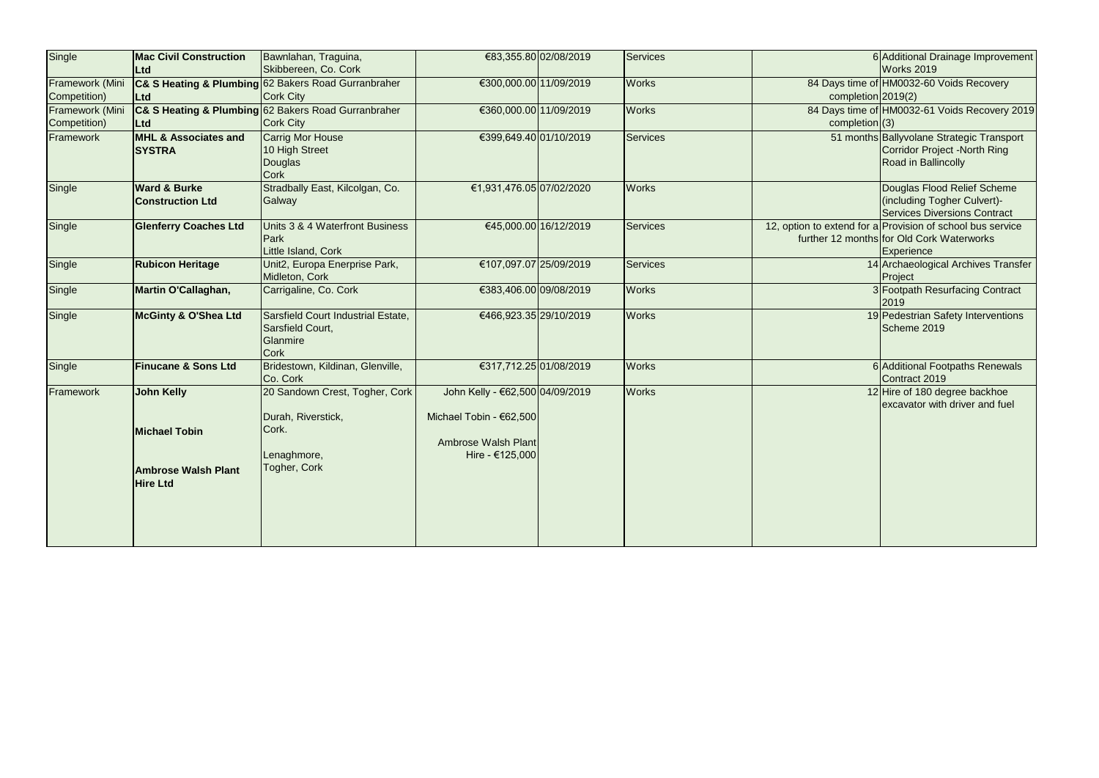| Single          | <b>Mac Civil Construction</b><br><b>Ltd</b>        | Bawnlahan, Traguina,<br>Skibbereen, Co. Cork                                      |                                                            | €83,355.80 02/08/2019  | Services        |                    | 6 Additional Drainage Improvement<br>Works 2019                                                                       |
|-----------------|----------------------------------------------------|-----------------------------------------------------------------------------------|------------------------------------------------------------|------------------------|-----------------|--------------------|-----------------------------------------------------------------------------------------------------------------------|
| Framework (Mini |                                                    | C& S Heating & Plumbing 62 Bakers Road Gurranbraher                               | €300,000.00 11/09/2019                                     |                        | <b>Works</b>    |                    | 84 Days time of HM0032-60 Voids Recovery                                                                              |
| Competition)    | Ltd                                                | Cork City                                                                         |                                                            |                        |                 | completion 2019(2) |                                                                                                                       |
| Framework (Mini |                                                    | C& S Heating & Plumbing 62 Bakers Road Gurranbraher                               | €360,000.00 11/09/2019                                     |                        | <b>Works</b>    |                    | 84 Days time of HM0032-61 Voids Recovery 2019                                                                         |
| Competition)    | <b>Ltd</b>                                         | Cork City                                                                         |                                                            |                        |                 | completion (3)     |                                                                                                                       |
| Framework       | MHL & Associates and<br><b>SYSTRA</b>              | Carrig Mor House<br>10 High Street                                                | €399,649.40 01/10/2019                                     |                        | <b>Services</b> |                    | 51 months Ballyvolane Strategic Transport<br>Corridor Project -North Ring                                             |
|                 |                                                    | Douglas<br><b>Cork</b>                                                            |                                                            |                        |                 |                    | Road in Ballincolly                                                                                                   |
| Single          | <b>Ward &amp; Burke</b><br><b>Construction Ltd</b> | Stradbally East, Kilcolgan, Co.<br>Galway                                         | €1,931,476.05 07/02/2020                                   |                        | <b>Works</b>    |                    | Douglas Flood Relief Scheme<br>(including Togher Culvert)-<br><b>Services Diversions Contract</b>                     |
| Single          | <b>Glenferry Coaches Ltd</b>                       | Units 3 & 4 Waterfront Business<br>Park<br>Little Island, Cork                    |                                                            | €45,000.00 16/12/2019  | <b>Services</b> |                    | 12, option to extend for a Provision of school bus service<br>further 12 months for Old Cork Waterworks<br>Experience |
| Single          | <b>Rubicon Heritage</b>                            | Unit2, Europa Enerprise Park,<br>Midleton, Cork                                   | €107,097.07 25/09/2019                                     |                        | <b>Services</b> |                    | 14 Archaeological Archives Transfer<br>Project                                                                        |
| Single          | Martin O'Callaghan,                                | Carrigaline, Co. Cork                                                             | €383,406.00 09/08/2019                                     |                        | <b>Works</b>    |                    | 3 Footpath Resurfacing Contract<br>2019                                                                               |
| Single          | McGinty & O'Shea Ltd                               | Sarsfield Court Industrial Estate,<br>Sarsfield Court,<br>Glanmire<br><b>Cork</b> |                                                            | €466,923.35 29/10/2019 | <b>Works</b>    |                    | 19 Pedestrian Safety Interventions<br>Scheme 2019                                                                     |
| Single          | <b>Finucane &amp; Sons Ltd</b>                     | Bridestown, Kildinan, Glenville,<br>Co. Cork                                      | €317,712.25 01/08/2019                                     |                        | <b>Works</b>    |                    | 6 Additional Footpaths Renewals<br>Contract 2019                                                                      |
| Framework       | <b>John Kelly</b>                                  | 20 Sandown Crest, Togher, Cork<br>Durah, Riverstick,                              | John Kelly - €62,500 04/09/2019<br>Michael Tobin - €62,500 |                        | <b>Works</b>    |                    | 12 Hire of 180 degree backhoe<br>excavator with driver and fuel                                                       |
|                 | <b>Michael Tobin</b>                               | Cork.<br>Lenaghmore,                                                              | Ambrose Walsh Plant<br>Hire - €125,000                     |                        |                 |                    |                                                                                                                       |
|                 | <b>Ambrose Walsh Plant</b><br><b>Hire Ltd</b>      | Togher, Cork                                                                      |                                                            |                        |                 |                    |                                                                                                                       |
|                 |                                                    |                                                                                   |                                                            |                        |                 |                    |                                                                                                                       |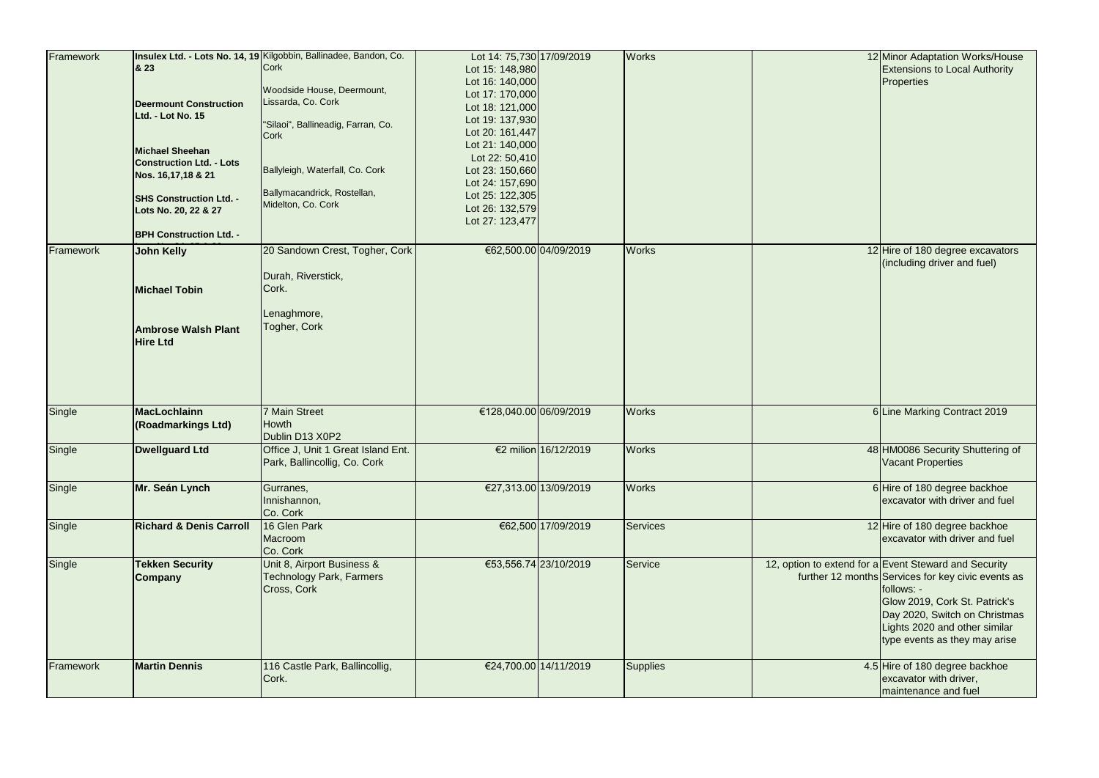| Framework | & 23<br><b>Deermount Construction</b><br>Ltd. - Lot No. 15<br><b>Michael Sheehan</b><br><b>Construction Ltd. - Lots</b><br>Nos. 16,17,18 & 21<br><b>SHS Construction Ltd. -</b><br>Lots No. 20, 22 & 27 | Insulex Ltd. - Lots No. 14, 19 Kilgobbin, Ballinadee, Bandon, Co.<br>Cork<br>Woodside House, Deermount,<br>Lissarda, Co. Cork<br>"Silaoi", Ballineadig, Farran, Co.<br>Cork<br>Ballyleigh, Waterfall, Co. Cork<br>Ballymacandrick, Rostellan,<br>Midelton, Co. Cork | Lot 14: 75,730 17/09/2019<br>Lot 15: 148,980<br>Lot 16: 140,000<br>Lot 17: 170,000<br>Lot 18: 121,000<br>Lot 19: 137,930<br>Lot 20: 161,447<br>Lot 21: 140,000<br>Lot 22: 50,410<br>Lot 23: 150,660<br>Lot 24: 157,690<br>Lot 25: 122,305<br>Lot 26: 132,579<br>Lot 27: 123,477 |                        | <b>Works</b> | 12 Minor Adaptation Works/House<br><b>Extensions to Local Authority</b><br><b>Properties</b>                                                                                                                                                                  |
|-----------|---------------------------------------------------------------------------------------------------------------------------------------------------------------------------------------------------------|---------------------------------------------------------------------------------------------------------------------------------------------------------------------------------------------------------------------------------------------------------------------|---------------------------------------------------------------------------------------------------------------------------------------------------------------------------------------------------------------------------------------------------------------------------------|------------------------|--------------|---------------------------------------------------------------------------------------------------------------------------------------------------------------------------------------------------------------------------------------------------------------|
|           | <b>BPH Construction Ltd. -</b>                                                                                                                                                                          |                                                                                                                                                                                                                                                                     |                                                                                                                                                                                                                                                                                 |                        |              |                                                                                                                                                                                                                                                               |
| Framework | <b>John Kelly</b><br><b>Michael Tobin</b><br><b>Ambrose Walsh Plant</b><br><b>Hire Ltd</b>                                                                                                              | 20 Sandown Crest, Togher, Cork<br>Durah, Riverstick,<br>Cork.<br>Lenaghmore,<br>Togher, Cork                                                                                                                                                                        |                                                                                                                                                                                                                                                                                 | €62,500.00 04/09/2019  | <b>Works</b> | 12 Hire of 180 degree excavators<br>(including driver and fuel)                                                                                                                                                                                               |
| Single    | <b>MacLochlainn</b><br>(Roadmarkings Ltd)                                                                                                                                                               | 7 Main Street<br>Howth                                                                                                                                                                                                                                              |                                                                                                                                                                                                                                                                                 | €128,040.00 06/09/2019 | <b>Works</b> | 6 Line Marking Contract 2019                                                                                                                                                                                                                                  |
|           |                                                                                                                                                                                                         | Dublin D13 X0P2                                                                                                                                                                                                                                                     |                                                                                                                                                                                                                                                                                 |                        |              |                                                                                                                                                                                                                                                               |
| Single    | <b>Dwellguard Ltd</b>                                                                                                                                                                                   | Office J, Unit 1 Great Island Ent.<br>Park, Ballincollig, Co. Cork                                                                                                                                                                                                  |                                                                                                                                                                                                                                                                                 | €2 milion 16/12/2019   | <b>Works</b> | 48 HM0086 Security Shuttering of<br>Vacant Properties                                                                                                                                                                                                         |
| Single    | Mr. Seán Lynch                                                                                                                                                                                          | Gurranes,<br>Innishannon,<br>Co. Cork                                                                                                                                                                                                                               |                                                                                                                                                                                                                                                                                 | €27,313.00 13/09/2019  | <b>Works</b> | 6 Hire of 180 degree backhoe<br>excavator with driver and fuel                                                                                                                                                                                                |
| Single    | <b>Richard &amp; Denis Carroll</b>                                                                                                                                                                      | 16 Glen Park<br>Macroom<br>Co. Cork                                                                                                                                                                                                                                 |                                                                                                                                                                                                                                                                                 | €62,500 17/09/2019     | Services     | 12 Hire of 180 degree backhoe<br>excavator with driver and fuel                                                                                                                                                                                               |
| Single    | <b>Tekken Security</b><br><b>Company</b>                                                                                                                                                                | Unit 8, Airport Business &<br><b>Technology Park, Farmers</b><br>Cross, Cork                                                                                                                                                                                        |                                                                                                                                                                                                                                                                                 | €53,556.74 23/10/2019  | Service      | 12, option to extend for a Event Steward and Security<br>further 12 months Services for key civic events as<br>follows: -<br>Glow 2019, Cork St. Patrick's<br>Day 2020, Switch on Christmas<br>Lights 2020 and other similar<br>type events as they may arise |
| Framework | <b>Martin Dennis</b>                                                                                                                                                                                    | 116 Castle Park, Ballincollig,<br>Cork.                                                                                                                                                                                                                             |                                                                                                                                                                                                                                                                                 | €24,700.00 14/11/2019  | Supplies     | 4.5 Hire of 180 degree backhoe<br>excavator with driver,<br>maintenance and fuel                                                                                                                                                                              |

|    | 12 Minor Adaptation Works/House<br><b>Extensions to Local Authority</b><br><b>Properties</b>                                                                                                                                           |
|----|----------------------------------------------------------------------------------------------------------------------------------------------------------------------------------------------------------------------------------------|
| 12 | Hire of 180 degree excavators<br>(including driver and fuel)                                                                                                                                                                           |
|    | <b>6 Line Marking Contract 2019</b>                                                                                                                                                                                                    |
|    | 48 HM0086 Security Shuttering of<br>Vacant Properties                                                                                                                                                                                  |
|    | 6 Hire of 180 degree backhoe<br>excavator with driver and fuel                                                                                                                                                                         |
|    | 12 Hire of 180 degree backhoe<br>excavator with driver and fuel                                                                                                                                                                        |
|    | ktend for a Event Steward and Security<br>12 months Services for key civic events as<br>follows: -<br>Glow 2019, Cork St. Patrick's<br>Day 2020, Switch on Christmas<br>Lights 2020 and other similar<br>type events as they may arise |
|    | 4.5 Hire of 180 degree backhoe<br>excavator with driver,                                                                                                                                                                               |
|    | maintenance and fuel                                                                                                                                                                                                                   |